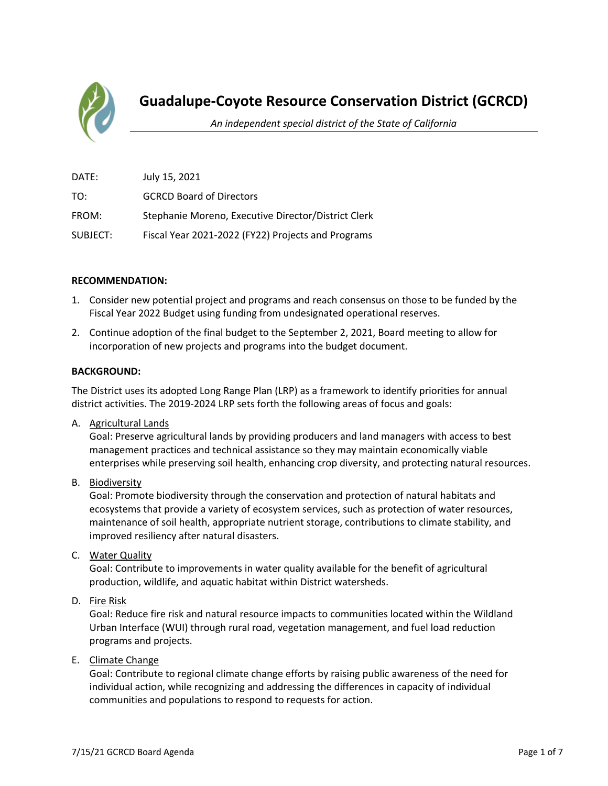

### **Guadalupe-Coyote Resource Conservation District (GCRCD)**

*An independent special district of the State of California*

| DATE:    | July 15, 2021                                       |
|----------|-----------------------------------------------------|
| TO:      | <b>GCRCD Board of Directors</b>                     |
| FROM:    | Stephanie Moreno, Executive Director/District Clerk |
| SUBJECT: | Fiscal Year 2021-2022 (FY22) Projects and Programs  |

#### **RECOMMENDATION:**

- 1. Consider new potential project and programs and reach consensus on those to be funded by the Fiscal Year 2022 Budget using funding from undesignated operational reserves.
- 2. Continue adoption of the final budget to the September 2, 2021, Board meeting to allow for incorporation of new projects and programs into the budget document.

#### **BACKGROUND:**

The District uses its adopted Long Range Plan (LRP) as a framework to identify priorities for annual district activities. The 2019-2024 LRP sets forth the following areas of focus and goals:

A. Agricultural Lands

Goal: Preserve agricultural lands by providing producers and land managers with access to best management practices and technical assistance so they may maintain economically viable enterprises while preserving soil health, enhancing crop diversity, and protecting natural resources.

B. Biodiversity

Goal: Promote biodiversity through the conservation and protection of natural habitats and ecosystems that provide a variety of ecosystem services, such as protection of water resources, maintenance of soil health, appropriate nutrient storage, contributions to climate stability, and improved resiliency after natural disasters.

C. Water Quality

Goal: Contribute to improvements in water quality available for the benefit of agricultural production, wildlife, and aquatic habitat within District watersheds.

D. Fire Risk

Goal: Reduce fire risk and natural resource impacts to communities located within the Wildland Urban Interface (WUI) through rural road, vegetation management, and fuel load reduction programs and projects.

E. Climate Change

Goal: Contribute to regional climate change efforts by raising public awareness of the need for individual action, while recognizing and addressing the differences in capacity of individual communities and populations to respond to requests for action.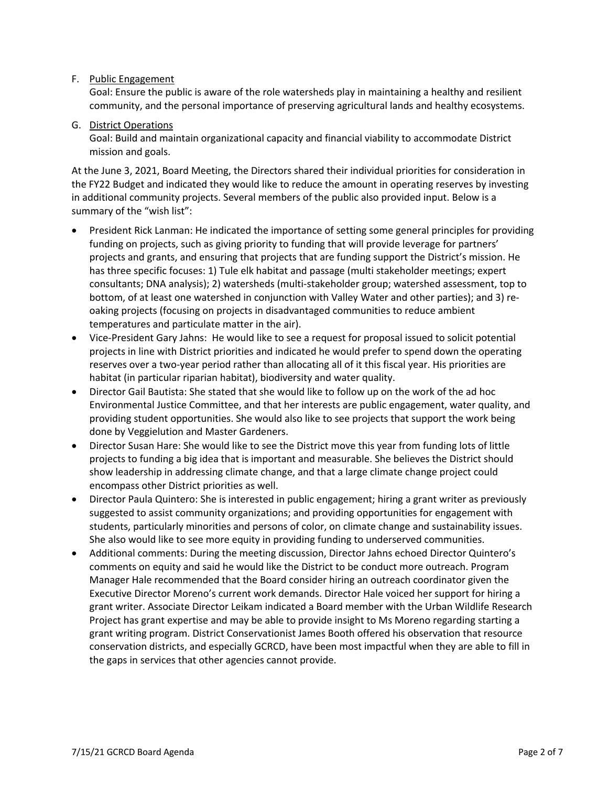#### F. Public Engagement

Goal: Ensure the public is aware of the role watersheds play in maintaining a healthy and resilient community, and the personal importance of preserving agricultural lands and healthy ecosystems.

#### G. District Operations

Goal: Build and maintain organizational capacity and financial viability to accommodate District mission and goals.

At the June 3, 2021, Board Meeting, the Directors shared their individual priorities for consideration in the FY22 Budget and indicated they would like to reduce the amount in operating reserves by investing in additional community projects. Several members of the public also provided input. Below is a summary of the "wish list":

- President Rick Lanman: He indicated the importance of setting some general principles for providing funding on projects, such as giving priority to funding that will provide leverage for partners' projects and grants, and ensuring that projects that are funding support the District's mission. He has three specific focuses: 1) Tule elk habitat and passage (multi stakeholder meetings; expert consultants; DNA analysis); 2) watersheds (multi-stakeholder group; watershed assessment, top to bottom, of at least one watershed in conjunction with Valley Water and other parties); and 3) reoaking projects (focusing on projects in disadvantaged communities to reduce ambient temperatures and particulate matter in the air).
- Vice-President Gary Jahns: He would like to see a request for proposal issued to solicit potential projects in line with District priorities and indicated he would prefer to spend down the operating reserves over a two-year period rather than allocating all of it this fiscal year. His priorities are habitat (in particular riparian habitat), biodiversity and water quality.
- Director Gail Bautista: She stated that she would like to follow up on the work of the ad hoc Environmental Justice Committee, and that her interests are public engagement, water quality, and providing student opportunities. She would also like to see projects that support the work being done by Veggielution and Master Gardeners.
- Director Susan Hare: She would like to see the District move this year from funding lots of little projects to funding a big idea that is important and measurable. She believes the District should show leadership in addressing climate change, and that a large climate change project could encompass other District priorities as well.
- Director Paula Quintero: She is interested in public engagement; hiring a grant writer as previously suggested to assist community organizations; and providing opportunities for engagement with students, particularly minorities and persons of color, on climate change and sustainability issues. She also would like to see more equity in providing funding to underserved communities.
- Additional comments: During the meeting discussion, Director Jahns echoed Director Quintero's comments on equity and said he would like the District to be conduct more outreach. Program Manager Hale recommended that the Board consider hiring an outreach coordinator given the Executive Director Moreno's current work demands. Director Hale voiced her support for hiring a grant writer. Associate Director Leikam indicated a Board member with the Urban Wildlife Research Project has grant expertise and may be able to provide insight to Ms Moreno regarding starting a grant writing program. District Conservationist James Booth offered his observation that resource conservation districts, and especially GCRCD, have been most impactful when they are able to fill in the gaps in services that other agencies cannot provide.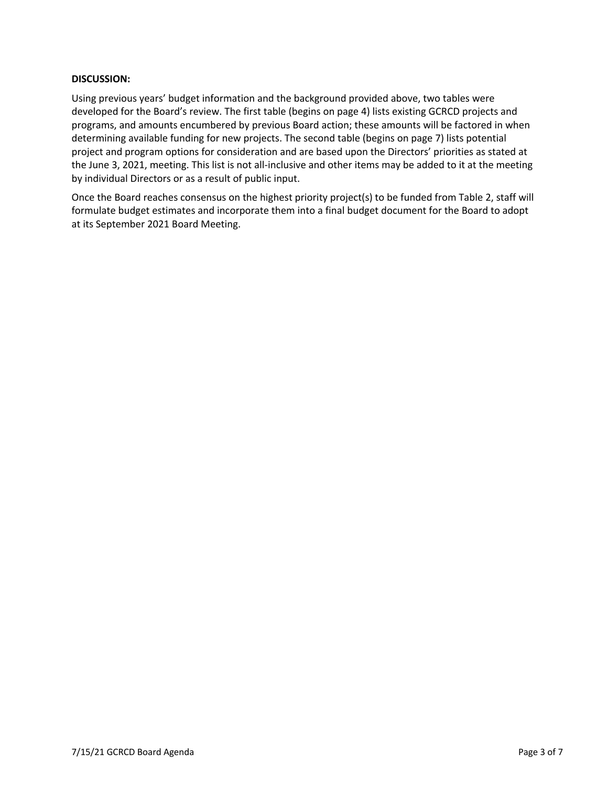#### **DISCUSSION:**

Using previous years' budget information and the background provided above, two tables were developed for the Board's review. The first table (begins on page 4) lists existing GCRCD projects and programs, and amounts encumbered by previous Board action; these amounts will be factored in when determining available funding for new projects. The second table (begins on page 7) lists potential project and program options for consideration and are based upon the Directors' priorities as stated at the June 3, 2021, meeting. This list is not all-inclusive and other items may be added to it at the meeting by individual Directors or as a result of public input.

Once the Board reaches consensus on the highest priority project(s) to be funded from Table 2, staff will formulate budget estimates and incorporate them into a final budget document for the Board to adopt at its September 2021 Board Meeting.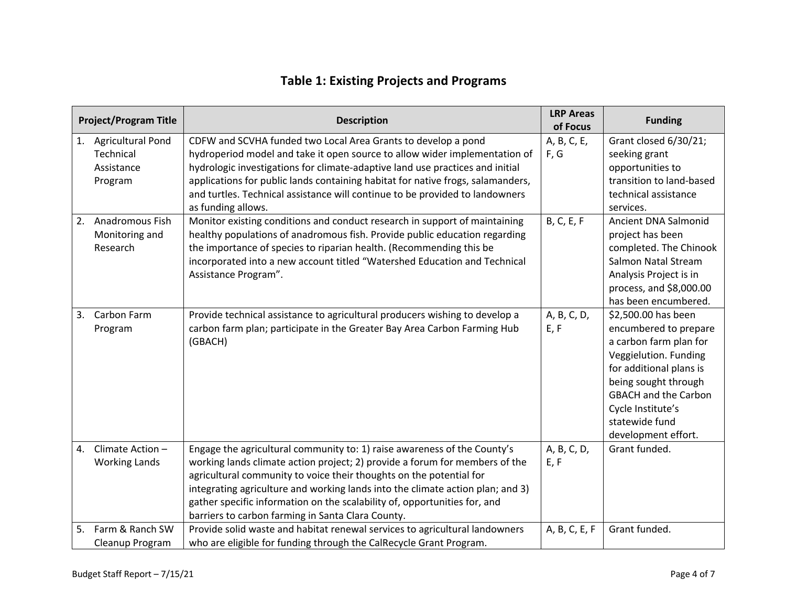## **Table 1: Existing Projects and Programs**

|                | <b>Project/Program Title</b>                                                             | <b>Description</b>                                                                                                                                                                                                                                                                                                                                                                                                                                                                                  | <b>LRP Areas</b><br>of Focus             | <b>Funding</b>                                                                                                                                                                                                                                  |
|----------------|------------------------------------------------------------------------------------------|-----------------------------------------------------------------------------------------------------------------------------------------------------------------------------------------------------------------------------------------------------------------------------------------------------------------------------------------------------------------------------------------------------------------------------------------------------------------------------------------------------|------------------------------------------|-------------------------------------------------------------------------------------------------------------------------------------------------------------------------------------------------------------------------------------------------|
| 1.<br>2.       | <b>Agricultural Pond</b><br>Technical<br>Assistance<br>Program<br><b>Anadromous Fish</b> | CDFW and SCVHA funded two Local Area Grants to develop a pond<br>hydroperiod model and take it open source to allow wider implementation of<br>hydrologic investigations for climate-adaptive land use practices and initial<br>applications for public lands containing habitat for native frogs, salamanders,<br>and turtles. Technical assistance will continue to be provided to landowners<br>as funding allows.<br>Monitor existing conditions and conduct research in support of maintaining | A, B, C, E,<br>F, G<br><b>B, C, E, F</b> | Grant closed 6/30/21;<br>seeking grant<br>opportunities to<br>transition to land-based<br>technical assistance<br>services.<br>Ancient DNA Salmonid                                                                                             |
|                | Monitoring and<br>Research                                                               | healthy populations of anadromous fish. Provide public education regarding<br>the importance of species to riparian health. (Recommending this be<br>incorporated into a new account titled "Watershed Education and Technical<br>Assistance Program".                                                                                                                                                                                                                                              |                                          | project has been<br>completed. The Chinook<br>Salmon Natal Stream<br>Analysis Project is in<br>process, and \$8,000.00<br>has been encumbered.                                                                                                  |
| 3.             | Carbon Farm<br>Program                                                                   | Provide technical assistance to agricultural producers wishing to develop a<br>carbon farm plan; participate in the Greater Bay Area Carbon Farming Hub<br>(GBACH)                                                                                                                                                                                                                                                                                                                                  | A, B, C, D,<br>E, F                      | \$2,500.00 has been<br>encumbered to prepare<br>a carbon farm plan for<br>Veggielution. Funding<br>for additional plans is<br>being sought through<br><b>GBACH and the Carbon</b><br>Cycle Institute's<br>statewide fund<br>development effort. |
| $\mathbf{4}$ . | Climate Action -<br><b>Working Lands</b>                                                 | Engage the agricultural community to: 1) raise awareness of the County's<br>working lands climate action project; 2) provide a forum for members of the<br>agricultural community to voice their thoughts on the potential for<br>integrating agriculture and working lands into the climate action plan; and 3)<br>gather specific information on the scalability of, opportunities for, and<br>barriers to carbon farming in Santa Clara County.                                                  | A, B, C, D,<br>E, F                      | Grant funded.                                                                                                                                                                                                                                   |
| 5.             | Farm & Ranch SW<br>Cleanup Program                                                       | Provide solid waste and habitat renewal services to agricultural landowners<br>who are eligible for funding through the CalRecycle Grant Program.                                                                                                                                                                                                                                                                                                                                                   | A, B, C, E, F                            | Grant funded.                                                                                                                                                                                                                                   |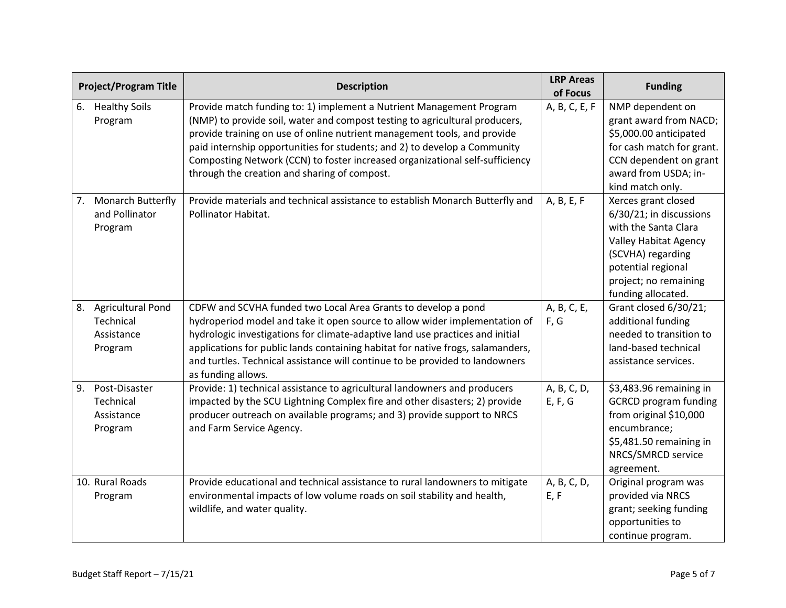|    | <b>Project/Program Title</b>                                   | <b>Description</b>                                                                                                                                                                                                                                                                                                                                                                                                                           | <b>LRP Areas</b><br>of Focus | <b>Funding</b>                                                                                                                                                                                   |
|----|----------------------------------------------------------------|----------------------------------------------------------------------------------------------------------------------------------------------------------------------------------------------------------------------------------------------------------------------------------------------------------------------------------------------------------------------------------------------------------------------------------------------|------------------------------|--------------------------------------------------------------------------------------------------------------------------------------------------------------------------------------------------|
| 6. | <b>Healthy Soils</b><br>Program                                | Provide match funding to: 1) implement a Nutrient Management Program<br>(NMP) to provide soil, water and compost testing to agricultural producers,<br>provide training on use of online nutrient management tools, and provide<br>paid internship opportunities for students; and 2) to develop a Community<br>Composting Network (CCN) to foster increased organizational self-sufficiency<br>through the creation and sharing of compost. | A, B, C, E, F                | NMP dependent on<br>grant award from NACD;<br>\$5,000.00 anticipated<br>for cash match for grant.<br>CCN dependent on grant<br>award from USDA; in-<br>kind match only.                          |
| 7. | <b>Monarch Butterfly</b><br>and Pollinator<br>Program          | Provide materials and technical assistance to establish Monarch Butterfly and<br>Pollinator Habitat.                                                                                                                                                                                                                                                                                                                                         | A, B, E, F                   | Xerces grant closed<br>6/30/21; in discussions<br>with the Santa Clara<br><b>Valley Habitat Agency</b><br>(SCVHA) regarding<br>potential regional<br>project; no remaining<br>funding allocated. |
| 8. | <b>Agricultural Pond</b><br>Technical<br>Assistance<br>Program | CDFW and SCVHA funded two Local Area Grants to develop a pond<br>hydroperiod model and take it open source to allow wider implementation of<br>hydrologic investigations for climate-adaptive land use practices and initial<br>applications for public lands containing habitat for native frogs, salamanders,<br>and turtles. Technical assistance will continue to be provided to landowners<br>as funding allows.                        | A, B, C, E,<br>F, G          | Grant closed 6/30/21;<br>additional funding<br>needed to transition to<br>land-based technical<br>assistance services.                                                                           |
| 9. | Post-Disaster<br>Technical<br>Assistance<br>Program            | Provide: 1) technical assistance to agricultural landowners and producers<br>impacted by the SCU Lightning Complex fire and other disasters; 2) provide<br>producer outreach on available programs; and 3) provide support to NRCS<br>and Farm Service Agency.                                                                                                                                                                               | A, B, C, D,<br>E, F, G       | \$3,483.96 remaining in<br><b>GCRCD</b> program funding<br>from original \$10,000<br>encumbrance;<br>\$5,481.50 remaining in<br>NRCS/SMRCD service<br>agreement.                                 |
|    | 10. Rural Roads<br>Program                                     | Provide educational and technical assistance to rural landowners to mitigate<br>environmental impacts of low volume roads on soil stability and health,<br>wildlife, and water quality.                                                                                                                                                                                                                                                      | A, B, C, D,<br>E, F          | Original program was<br>provided via NRCS<br>grant; seeking funding<br>opportunities to<br>continue program.                                                                                     |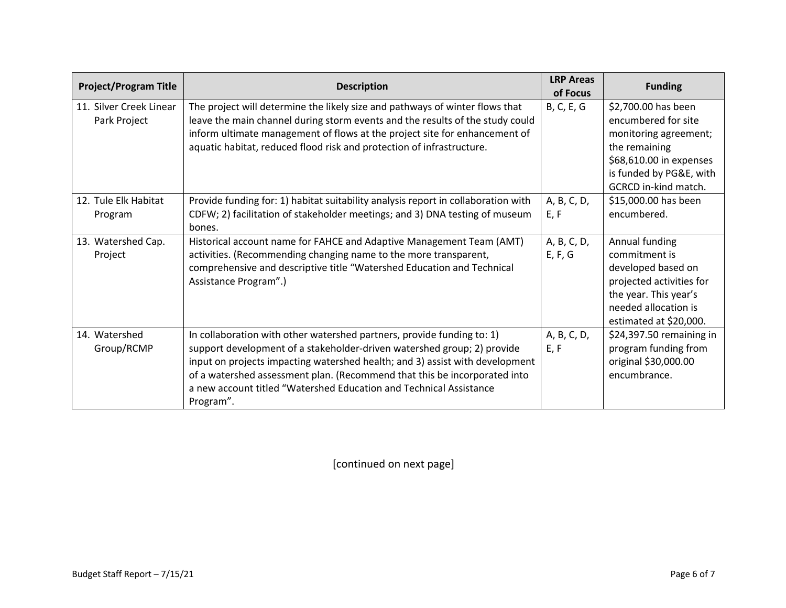| <b>Project/Program Title</b>            | <b>Description</b>                                                                                                                                                                                                                                                                                                                                                                                | <b>LRP Areas</b><br>of Focus | <b>Funding</b>                                                                                                                                                     |
|-----------------------------------------|---------------------------------------------------------------------------------------------------------------------------------------------------------------------------------------------------------------------------------------------------------------------------------------------------------------------------------------------------------------------------------------------------|------------------------------|--------------------------------------------------------------------------------------------------------------------------------------------------------------------|
| 11. Silver Creek Linear<br>Park Project | The project will determine the likely size and pathways of winter flows that<br>leave the main channel during storm events and the results of the study could<br>inform ultimate management of flows at the project site for enhancement of<br>aquatic habitat, reduced flood risk and protection of infrastructure.                                                                              | B, C, E, G                   | \$2,700.00 has been<br>encumbered for site<br>monitoring agreement;<br>the remaining<br>\$68,610.00 in expenses<br>is funded by PG&E, with<br>GCRCD in-kind match. |
| 12. Tule Elk Habitat<br>Program         | Provide funding for: 1) habitat suitability analysis report in collaboration with<br>CDFW; 2) facilitation of stakeholder meetings; and 3) DNA testing of museum<br>bones.                                                                                                                                                                                                                        | A, B, C, D,<br>E, F          | \$15,000.00 has been<br>encumbered.                                                                                                                                |
| 13. Watershed Cap.<br>Project           | Historical account name for FAHCE and Adaptive Management Team (AMT)<br>activities. (Recommending changing name to the more transparent,<br>comprehensive and descriptive title "Watershed Education and Technical<br>Assistance Program".)                                                                                                                                                       | A, B, C, D,<br>E, F, G       | Annual funding<br>commitment is<br>developed based on<br>projected activities for<br>the year. This year's<br>needed allocation is<br>estimated at \$20,000.       |
| 14. Watershed<br>Group/RCMP             | In collaboration with other watershed partners, provide funding to: 1)<br>support development of a stakeholder-driven watershed group; 2) provide<br>input on projects impacting watershed health; and 3) assist with development<br>of a watershed assessment plan. (Recommend that this be incorporated into<br>a new account titled "Watershed Education and Technical Assistance<br>Program". | A, B, C, D,<br>E, F          | \$24,397.50 remaining in<br>program funding from<br>original \$30,000.00<br>encumbrance.                                                                           |

[continued on next page]